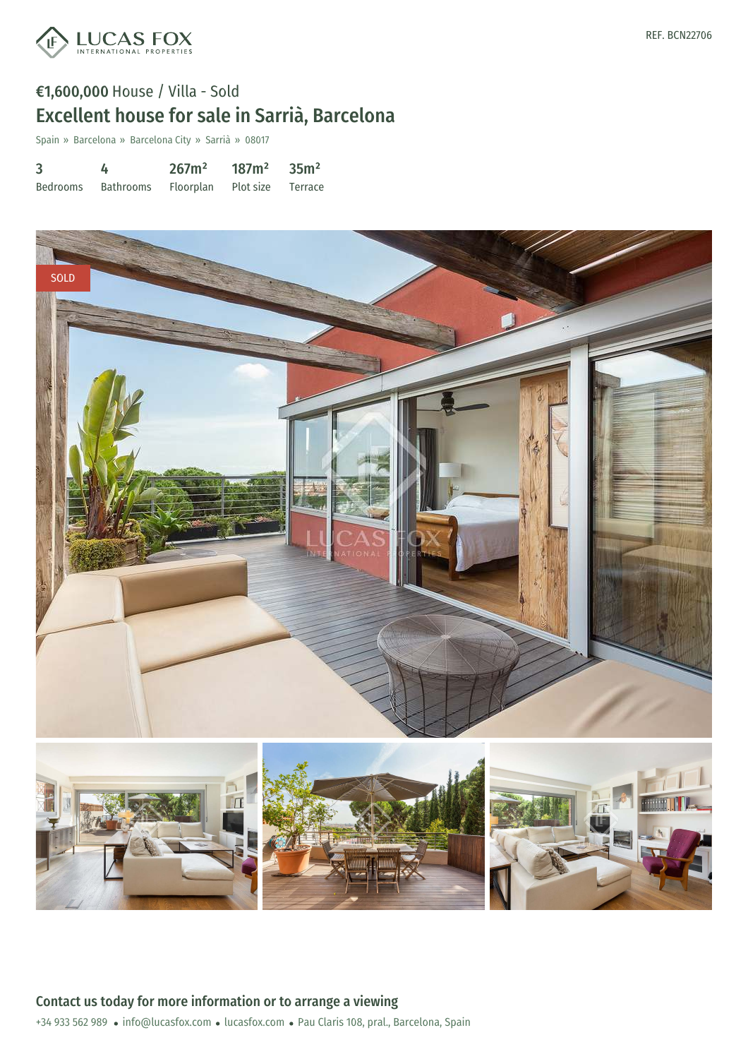

# €1,600,000 House / Villa - Sold Excellent house for sale in Sarrià, Barcelona

Spain » Barcelona » Barcelona City » Sarrià » 08017

| $\overline{3}$ | 4                                     | 267m <sup>2</sup> | $187m^2$ 35m <sup>2</sup> |  |
|----------------|---------------------------------------|-------------------|---------------------------|--|
| Bedrooms       | Bathrooms Floorplan Plot-size Terrace |                   |                           |  |

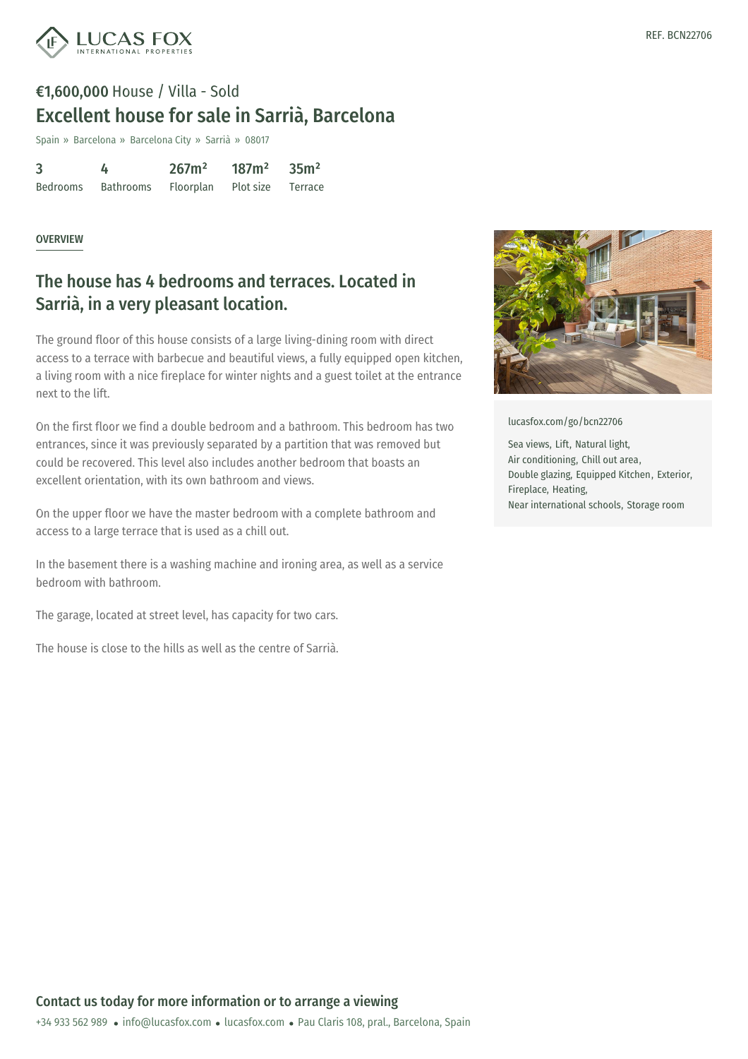

## €1,600,000 House / Villa - Sold Excellent house for sale in Sarrià, Barcelona

Spain » Barcelona » Barcelona City » Sarrià » 08017

| 3               | 4                | 267m <sup>2</sup> | 187m <sup>2</sup> | 35m <sup>2</sup> |
|-----------------|------------------|-------------------|-------------------|------------------|
| <b>Bedrooms</b> | <b>Bathrooms</b> | Floorplan         | Plot size         | Terrace          |

#### **OVERVIEW**

### The house has 4 bedrooms and terraces. Located in Sarrià, in a very pleasant location.

The ground floor of this house consists of a large living-dining room with direct access to a terrace with barbecue and beautiful views, a fully equipped open kitchen, a living room with a nice fireplace for winter nights and a guest toilet at the entrance next to the lift.

On the first floor we find a double bedroom and a bathroom. This bedroom has two entrances, since it was previously separated by a partition that was removed but could be recovered. This level also includes another bedroom that boasts an excellent orientation, with its own bathroom and views.

On the upper floor we have the master bedroom with a complete bathroom and access to a large terrace that is used as a chill out.

In the basement there is a washing machine and ironing area, as well as a service bedroom with bathroom.

The garage, located at street level, has capacity for two cars.

The house is close to the hills as well as the centre of Sarrià.



[lucasfox.com/go/bcn22706](https://www.lucasfox.com/go/bcn22706)

Sea views, Lift, Natural light, Air conditioning, Chill out area, Double glazing, Equipped Kitchen, Exterior, Fireplace, Heating, Near international schools, Storage room